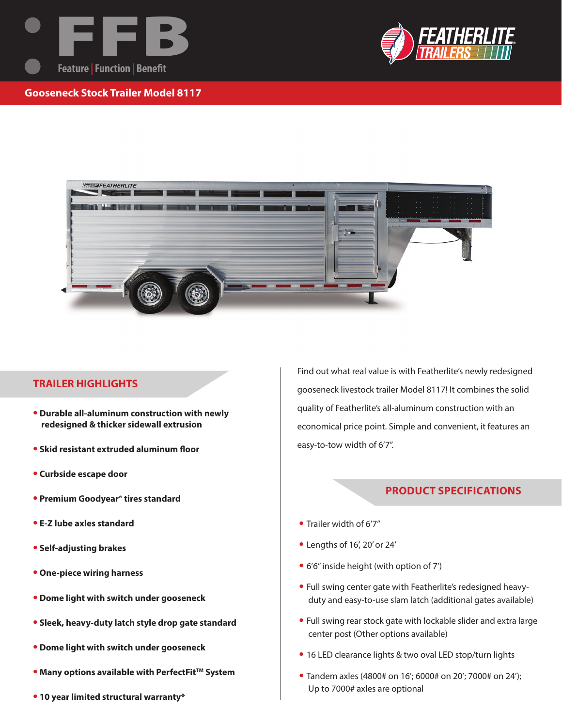



**Gooseneck Stock Trailer Model 8117**



## **TRAILER HIGHLIGHTS**

- **Durable all-aluminum construction with newly redesigned & thicker sidewall extrusion**
- **Skid resistant extruded aluminum floor**
- **Curbside escape door**
- **Premium Goodyear® tires standard**
- **E-Z lube axles standard**
- **Self-adjusting brakes**
- **One-piece wiring harness**
- **Dome light with switch under gooseneck**
- **Sleek, heavy-duty latch style drop gate standard**
- **Dome light with switch under gooseneck**
- **Many options available with PerfectFit<sup>TM</sup> System**
- **10 year limited structural warranty\***

Find out what real value is with Featherlite's newly redesigned gooseneck livestock trailer Model 8117! It combines the solid quality of Featherlite's all-aluminum construction with an economical price point. Simple and convenient, it features an easy-to-tow width of 6'7".

## **PRODUCT SPECIFICATIONS**

- Trailer width of 6'7"
- Lengths of 16', 20' or 24'
- 6'6" inside height (with option of 7')
- Full swing center gate with Featherlite's redesigned heavyduty and easy-to-use slam latch (additional gates available)
- Full swing rear stock gate with lockable slider and extra large center post (Other options available)
- 16 LED clearance lights & two oval LED stop/turn lights
- Tandem axles (4800# on 16'; 6000# on 20'; 7000# on 24'); Up to 7000# axles are optional